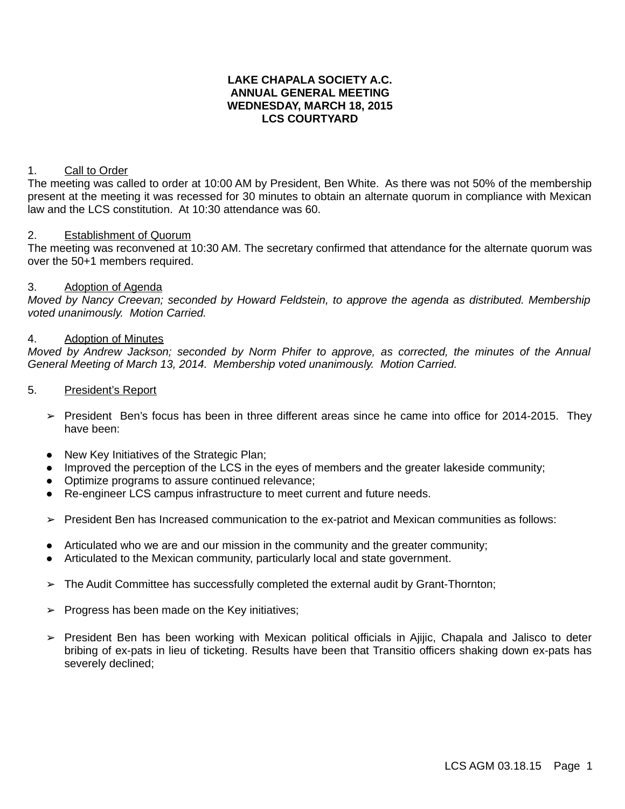### **LAKE CHAPALA SOCIETY A.C. ANNUAL GENERAL MEETING WEDNESDAY, MARCH 18, 2015 LCS COURTYARD**

### 1. Call to Order

The meeting was called to order at 10:00 AM by President, Ben White. As there was not 50% of the membership present at the meeting it was recessed for 30 minutes to obtain an alternate quorum in compliance with Mexican law and the LCS constitution. At 10:30 attendance was 60.

### 2. Establishment of Quorum

The meeting was reconvened at 10:30 AM. The secretary confirmed that attendance for the alternate quorum was over the 50+1 members required.

### 3. Adoption of Agenda

*Moved by Nancy Creevan; seconded by Howard Feldstein, to approve the agenda as distributed. Membership voted unanimously. Motion Carried.*

#### 4. Adoption of Minutes

*Moved by Andrew Jackson; seconded by Norm Phifer to approve, as corrected, the minutes of the Annual General Meeting of March 13, 2014. Membership voted unanimously. Motion Carried.*

- 5. President's Report
	- ➢ President Ben's focus has been in three different areas since he came into office for 2014-2015. They have been:
	- New Key Initiatives of the Strategic Plan;
	- Improved the perception of the LCS in the eyes of members and the greater lakeside community;
	- Optimize programs to assure continued relevance;
	- Re-engineer LCS campus infrastructure to meet current and future needs.
	- ➢ President Ben has Increased communication to the ex-patriot and Mexican communities as follows:
	- Articulated who we are and our mission in the community and the greater community;
	- Articulated to the Mexican community, particularly local and state government.
	- ➢ The Audit Committee has successfully completed the external audit by Grant-Thornton;
	- $\triangleright$  Progress has been made on the Key initiatives;
	- ➢ President Ben has been working with Mexican political officials in Ajijic, Chapala and Jalisco to deter bribing of ex-pats in lieu of ticketing. Results have been that Transitio officers shaking down ex-pats has severely declined;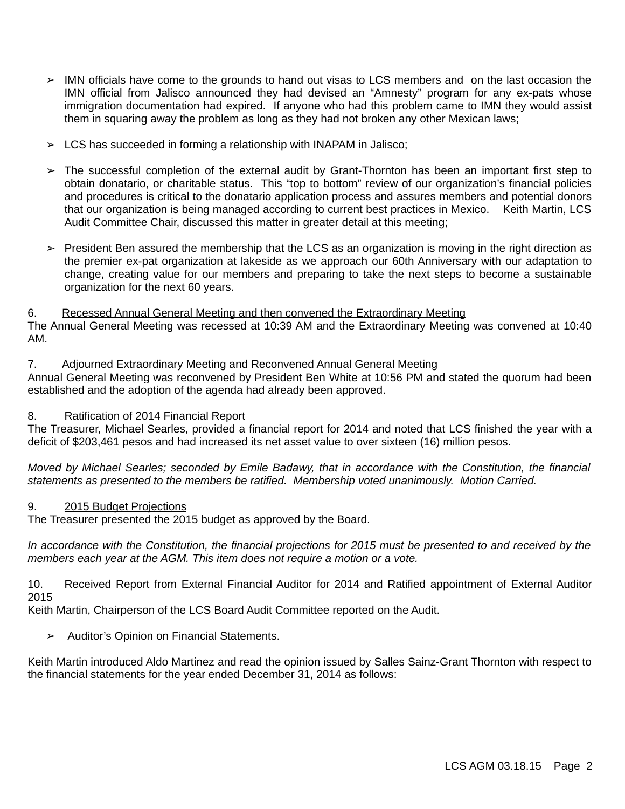- ➢ IMN officials have come to the grounds to hand out visas to LCS members and on the last occasion the IMN official from Jalisco announced they had devised an "Amnesty" program for any ex-pats whose immigration documentation had expired. If anyone who had this problem came to IMN they would assist them in squaring away the problem as long as they had not broken any other Mexican laws;
- $\geq$  LCS has succeeded in forming a relationship with INAPAM in Jalisco;
- ➢ The successful completion of the external audit by Grant-Thornton has been an important first step to obtain donatario, or charitable status. This "top to bottom" review of our organization's financial policies and procedures is critical to the donatario application process and assures members and potential donors that our organization is being managed according to current best practices in Mexico. Keith Martin, LCS Audit Committee Chair, discussed this matter in greater detail at this meeting;
- $\triangleright$  President Ben assured the membership that the LCS as an organization is moving in the right direction as the premier ex-pat organization at lakeside as we approach our 60th Anniversary with our adaptation to change, creating value for our members and preparing to take the next steps to become a sustainable organization for the next 60 years.

### 6. Recessed Annual General Meeting and then convened the Extraordinary Meeting

The Annual General Meeting was recessed at 10:39 AM and the Extraordinary Meeting was convened at 10:40 AM.

### 7. Adjourned Extraordinary Meeting and Reconvened Annual General Meeting

Annual General Meeting was reconvened by President Ben White at 10:56 PM and stated the quorum had been established and the adoption of the agenda had already been approved.

# 8. Ratification of 2014 Financial Report

The Treasurer, Michael Searles, provided a financial report for 2014 and noted that LCS finished the year with a deficit of \$203,461 pesos and had increased its net asset value to over sixteen (16) million pesos.

*Moved by Michael Searles; seconded by Emile Badawy, that in accordance with the Constitution, the financial statements as presented to the members be ratified. Membership voted unanimously. Motion Carried.*

# 9. 2015 Budget Projections

The Treasurer presented the 2015 budget as approved by the Board.

*In accordance with the Constitution, the financial projections for 2015 must be presented to and received by the members each year at the AGM. This item does not require a motion or a vote.*

10. Received Report from External Financial Auditor for 2014 and Ratified appointment of External Auditor 2015

Keith Martin, Chairperson of the LCS Board Audit Committee reported on the Audit.

**➢** Auditor's Opinion on Financial Statements.

Keith Martin introduced Aldo Martinez and read the opinion issued by Salles Sainz-Grant Thornton with respect to the financial statements for the year ended December 31, 2014 as follows: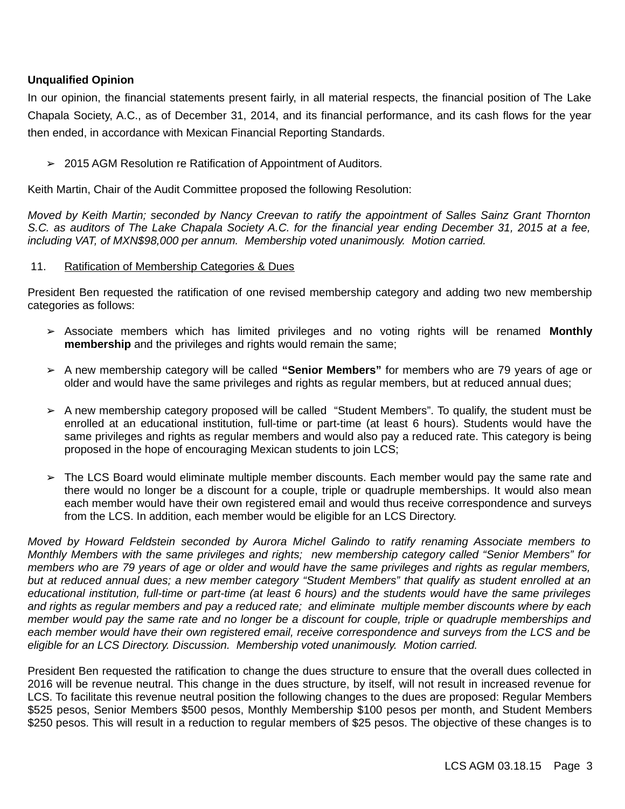# **Unqualified Opinion**

In our opinion, the financial statements present fairly, in all material respects, the financial position of The Lake Chapala Society, A.C., as of December 31, 2014, and its financial performance, and its cash flows for the year then ended, in accordance with Mexican Financial Reporting Standards.

➢ 2015 AGM Resolution re Ratification of Appointment of Auditors.

Keith Martin, Chair of the Audit Committee proposed the following Resolution:

*Moved by Keith Martin; seconded by Nancy Creevan to ratify the appointment of Salles Sainz Grant Thornton S.C. as auditors of The Lake Chapala Society A.C. for the financial year ending December 31, 2015 at a fee, including VAT, of MXN\$98,000 per annum. Membership voted unanimously. Motion carried.*

### 11. Ratification of Membership Categories & Dues

President Ben requested the ratification of one revised membership category and adding two new membership categories as follows:

- ➢ Associate members which has limited privileges and no voting rights will be renamed **Monthly membership** and the privileges and rights would remain the same;
- ➢ A new membership category will be called **"Senior Members"** for members who are 79 years of age or older and would have the same privileges and rights as regular members, but at reduced annual dues;
- ➢ A new membership category proposed will be called "Student Members". To qualify, the student must be enrolled at an educational institution, full-time or part-time (at least 6 hours). Students would have the same privileges and rights as regular members and would also pay a reduced rate. This category is being proposed in the hope of encouraging Mexican students to join LCS;
- ➢ The LCS Board would eliminate multiple member discounts. Each member would pay the same rate and there would no longer be a discount for a couple, triple or quadruple memberships. It would also mean each member would have their own registered email and would thus receive correspondence and surveys from the LCS. In addition, each member would be eligible for an LCS Directory.

*Moved by Howard Feldstein seconded by Aurora Michel Galindo to ratify renaming Associate members to Monthly Members with the same privileges and rights; new membership category called "Senior Members" for members who are 79 years of age or older and would have the same privileges and rights as regular members, but at reduced annual dues; a new member category "Student Members" that qualify as student enrolled at an educational institution, full-time or part-time (at least 6 hours) and the students would have the same privileges and rights as regular members and pay a reduced rate; and eliminate multiple member discounts where by each member would pay the same rate and no longer be a discount for couple, triple or quadruple memberships and each member would have their own registered email, receive correspondence and surveys from the LCS and be eligible for an LCS Directory. Discussion. Membership voted unanimously. Motion carried.*

President Ben requested the ratification to change the dues structure to ensure that the overall dues collected in 2016 will be revenue neutral. This change in the dues structure, by itself, will not result in increased revenue for LCS. To facilitate this revenue neutral position the following changes to the dues are proposed: Regular Members \$525 pesos, Senior Members \$500 pesos, Monthly Membership \$100 pesos per month, and Student Members \$250 pesos. This will result in a reduction to regular members of \$25 pesos. The objective of these changes is to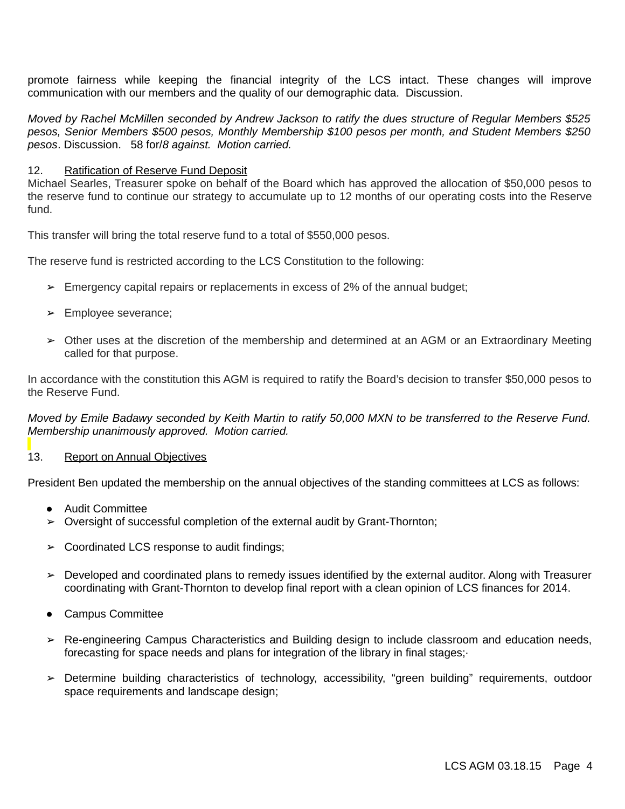promote fairness while keeping the financial integrity of the LCS intact. These changes will improve communication with our members and the quality of our demographic data. Discussion.

*Moved by Rachel McMillen seconded by Andrew Jackson to ratify the dues structure of Regular Members \$525 pesos, Senior Members \$500 pesos, Monthly Membership \$100 pesos per month, and Student Members \$250 pesos*. Discussion. 58 for/*8 against. Motion carried.*

### 12. Ratification of Reserve Fund Deposit

Michael Searles, Treasurer spoke on behalf of the Board which has approved the allocation of \$50,000 pesos to the reserve fund to continue our strategy to accumulate up to 12 months of our operating costs into the Reserve fund.

This transfer will bring the total reserve fund to a total of \$550,000 pesos.

The reserve fund is restricted according to the LCS Constitution to the following:

- $\triangleright$  Emergency capital repairs or replacements in excess of 2% of the annual budget;
- ➢ Employee severance;
- ➢ Other uses at the discretion of the membership and determined at an AGM or an Extraordinary Meeting called for that purpose.

In accordance with the constitution this AGM is required to ratify the Board's decision to transfer \$50,000 pesos to the Reserve Fund.

*Moved by Emile Badawy seconded by Keith Martin to ratify 50,000 MXN to be transferred to the Reserve Fund. Membership unanimously approved. Motion carried.*

### 13. Report on Annual Objectives

President Ben updated the membership on the annual objectives of the standing committees at LCS as follows:

- Audit Committee
- ➢ Oversight of successful completion of the external audit by Grant-Thornton;
- $\geq$  Coordinated LCS response to audit findings;
- ➢ Developed and coordinated plans to remedy issues identified by the external auditor. Along with Treasurer coordinating with Grant-Thornton to develop final report with a clean opinion of LCS finances for 2014.
- Campus Committee
- ➢ Re-engineering Campus Characteristics and Building design to include classroom and education needs, forecasting for space needs and plans for integration of the library in final stages;·
- ➢ Determine building characteristics of technology, accessibility, "green building" requirements, outdoor space requirements and landscape design;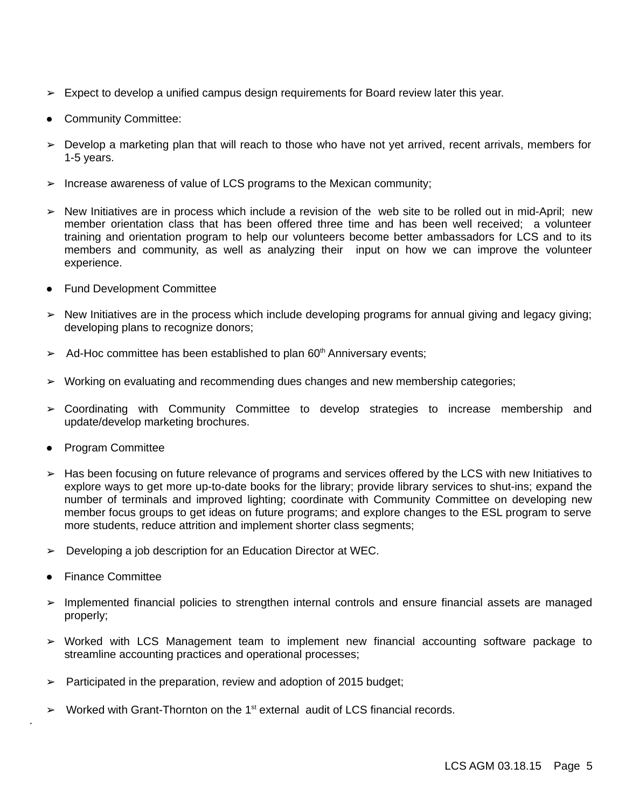- $\triangleright$  Expect to develop a unified campus design requirements for Board review later this year.
- Community Committee:
- $\triangleright$  Develop a marketing plan that will reach to those who have not yet arrived, recent arrivals, members for 1-5 years.
- $\triangleright$  Increase awareness of value of LCS programs to the Mexican community;
- ➢ New Initiatives are in process which include a revision of the web site to be rolled out in mid-April; new member orientation class that has been offered three time and has been well received; a volunteer training and orientation program to help our volunteers become better ambassadors for LCS and to its members and community, as well as analyzing their input on how we can improve the volunteer experience.
- Fund Development Committee
- ➢ New Initiatives are in the process which include developing programs for annual giving and legacy giving; developing plans to recognize donors;
- $\geq$  Ad-Hoc committee has been established to plan 60<sup>th</sup> Anniversary events;
- ➢ Working on evaluating and recommending dues changes and new membership categories;
- ➢ Coordinating with Community Committee to develop strategies to increase membership and update/develop marketing brochures.
- Program Committee
- ➢ Has been focusing on future relevance of programs and services offered by the LCS with new Initiatives to explore ways to get more up-to-date books for the library; provide library services to shut-ins; expand the number of terminals and improved lighting; coordinate with Community Committee on developing new member focus groups to get ideas on future programs; and explore changes to the ESL program to serve more students, reduce attrition and implement shorter class segments;
- ➢ Developing a job description for an Education Director at WEC.
- **Finance Committee**

·

- ➢ Implemented financial policies to strengthen internal controls and ensure financial assets are managed properly;
- ➢ Worked with LCS Management team to implement new financial accounting software package to streamline accounting practices and operational processes;
- $\geq$  Participated in the preparation, review and adoption of 2015 budget;
- $\triangleright$  Worked with Grant-Thornton on the 1<sup>st</sup> external audit of LCS financial records.